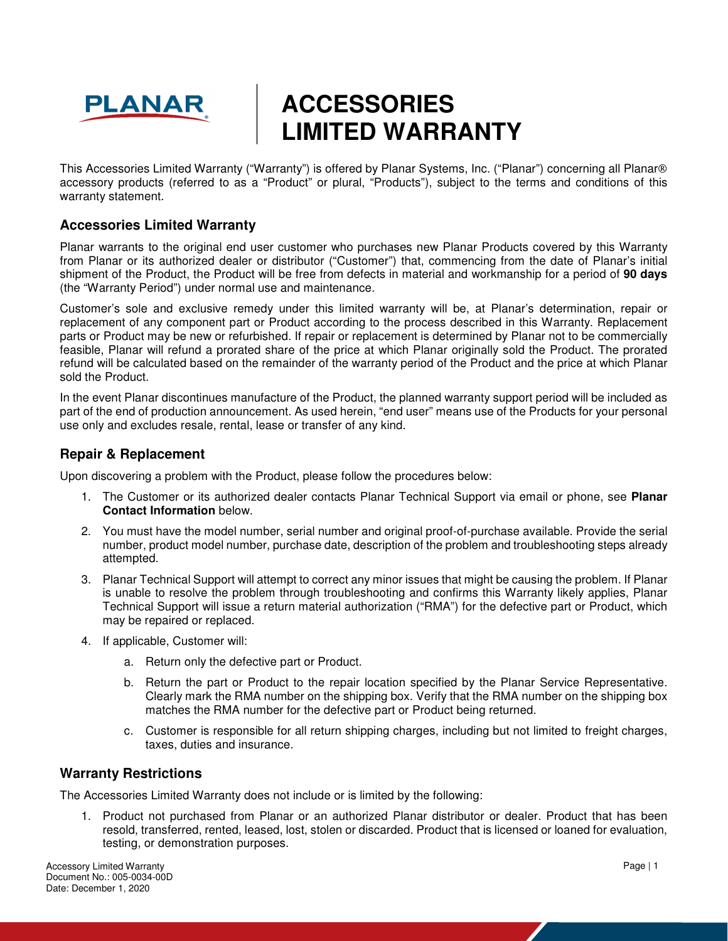

# **ACCESSORIES LIMITED WARRANTY**

This Accessories Limited Warranty ("Warranty") is offered by Planar Systems, Inc. ("Planar") concerning all Planar® accessory products (referred to as a "Product" or plural, "Products"), subject to the terms and conditions of this warranty statement.

# **Accessories Limited Warranty**

Planar warrants to the original end user customer who purchases new Planar Products covered by this Warranty from Planar or its authorized dealer or distributor ("Customer") that, commencing from the date of Planar's initial shipment of the Product, the Product will be free from defects in material and workmanship for a period of **90 days** (the "Warranty Period") under normal use and maintenance.

Customer's sole and exclusive remedy under this limited warranty will be, at Planar's determination, repair or replacement of any component part or Product according to the process described in this Warranty. Replacement parts or Product may be new or refurbished. If repair or replacement is determined by Planar not to be commercially feasible, Planar will refund a prorated share of the price at which Planar originally sold the Product. The prorated refund will be calculated based on the remainder of the warranty period of the Product and the price at which Planar sold the Product.

In the event Planar discontinues manufacture of the Product, the planned warranty support period will be included as part of the end of production announcement. As used herein, "end user" means use of the Products for your personal use only and excludes resale, rental, lease or transfer of any kind.

# **Repair & Replacement**

Upon discovering a problem with the Product, please follow the procedures below:

- 1. The Customer or its authorized dealer contacts Planar Technical Support via email or phone, see **Planar Contact Information** below.
- 2. You must have the model number, serial number and original proof-of-purchase available. Provide the serial number, product model number, purchase date, description of the problem and troubleshooting steps already attempted.
- 3. Planar Technical Support will attempt to correct any minor issues that might be causing the problem. If Planar is unable to resolve the problem through troubleshooting and confirms this Warranty likely applies, Planar Technical Support will issue a return material authorization ("RMA") for the defective part or Product, which may be repaired or replaced.
- 4. If applicable, Customer will:
	- a. Return only the defective part or Product.
	- b. Return the part or Product to the repair location specified by the Planar Service Representative. Clearly mark the RMA number on the shipping box. Verify that the RMA number on the shipping box matches the RMA number for the defective part or Product being returned.
	- c. Customer is responsible for all return shipping charges, including but not limited to freight charges, taxes, duties and insurance.

#### **Warranty Restrictions**

The Accessories Limited Warranty does not include or is limited by the following:

1. Product not purchased from Planar or an authorized Planar distributor or dealer. Product that has been resold, transferred, rented, leased, lost, stolen or discarded. Product that is licensed or loaned for evaluation, testing, or demonstration purposes.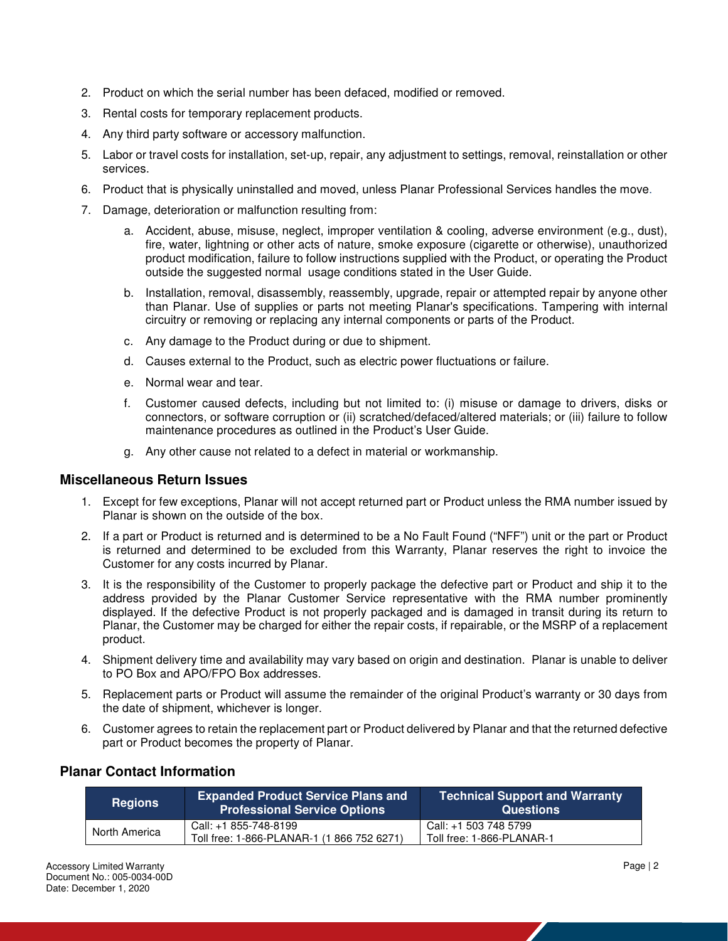- 2. Product on which the serial number has been defaced, modified or removed.
- 3. Rental costs for temporary replacement products.
- 4. Any third party software or accessory malfunction.
- 5. Labor or travel costs for installation, set-up, repair, any adjustment to settings, removal, reinstallation or other services.
- 6. Product that is physically uninstalled and moved, unless Planar Professional Services handles the move.
- 7. Damage, deterioration or malfunction resulting from:
	- a. Accident, abuse, misuse, neglect, improper ventilation & cooling, adverse environment (e.g., dust), fire, water, lightning or other acts of nature, smoke exposure (cigarette or otherwise), unauthorized product modification, failure to follow instructions supplied with the Product, or operating the Product outside the suggested normal usage conditions stated in the User Guide.
	- b. Installation, removal, disassembly, reassembly, upgrade, repair or attempted repair by anyone other than Planar. Use of supplies or parts not meeting Planar's specifications. Tampering with internal circuitry or removing or replacing any internal components or parts of the Product.
	- c. Any damage to the Product during or due to shipment.
	- d. Causes external to the Product, such as electric power fluctuations or failure.
	- e. Normal wear and tear.
	- f. Customer caused defects, including but not limited to: (i) misuse or damage to drivers, disks or connectors, or software corruption or (ii) scratched/defaced/altered materials; or (iii) failure to follow maintenance procedures as outlined in the Product's User Guide.
	- g. Any other cause not related to a defect in material or workmanship.

#### **Miscellaneous Return Issues**

- 1. Except for few exceptions, Planar will not accept returned part or Product unless the RMA number issued by Planar is shown on the outside of the box.
- 2. If a part or Product is returned and is determined to be a No Fault Found ("NFF") unit or the part or Product is returned and determined to be excluded from this Warranty, Planar reserves the right to invoice the Customer for any costs incurred by Planar.
- 3. It is the responsibility of the Customer to properly package the defective part or Product and ship it to the address provided by the Planar Customer Service representative with the RMA number prominently displayed. If the defective Product is not properly packaged and is damaged in transit during its return to Planar, the Customer may be charged for either the repair costs, if repairable, or the MSRP of a replacement product.
- 4. Shipment delivery time and availability may vary based on origin and destination. Planar is unable to deliver to PO Box and APO/FPO Box addresses.
- 5. Replacement parts or Product will assume the remainder of the original Product's warranty or 30 days from the date of shipment, whichever is longer.
- 6. Customer agrees to retain the replacement part or Product delivered by Planar and that the returned defective part or Product becomes the property of Planar.

| <b>Regions</b> | <b>Expanded Product Service Plans and</b><br><b>Professional Service Options</b> | <b>Technical Support and Warranty</b><br><b>Questions</b> |
|----------------|----------------------------------------------------------------------------------|-----------------------------------------------------------|
| North America  | Call: +1 855-748-8199<br>Toll free: 1-866-PLANAR-1 (1 866 752 6271)              | Call: +1 503 748 5799<br>Toll free: 1-866-PLANAR-1        |

# **Planar Contact Information**